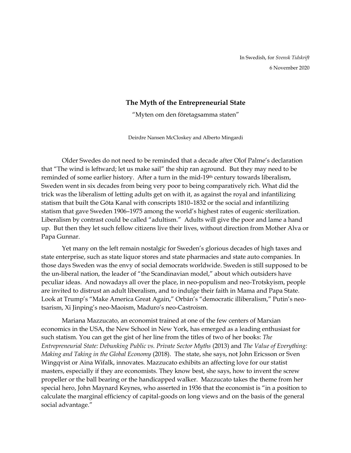## **The Myth of the Entrepreneurial State**

"Myten om den företagsamma staten"

Deirdre Nansen McCloskey and Alberto Mingardi

Older Swedes do not need to be reminded that a decade after Olof Palme's declaration that "The wind is leftward; let us make sail" the ship ran aground. But they may need to be reminded of some earlier history. After a turn in the mid-19th century towards liberalism, Sweden went in six decades from being very poor to being comparatively rich. What did the trick was the liberalism of letting adults get on with it, as against the royal and infantilizing statism that built the Göta Kanal with conscripts 1810–1832 or the social and infantilizing statism that gave Sweden 1906–1975 among the world's highest rates of eugenic sterilization. Liberalism by contrast could be called "adultism." Adults will give the poor and lame a hand up. But then they let such fellow citizens live their lives, without direction from Mother Alva or Papa Gunnar.

Yet many on the left remain nostalgic for Sweden's glorious decades of high taxes and state enterprise, such as state liquor stores and state pharmacies and state auto companies. In those days Sweden was the envy of social democrats worldwide. Sweden is still supposed to be the un-liberal nation, the leader of "the Scandinavian model," about which outsiders have peculiar ideas. And nowadays all over the place, in neo-populism and neo-Trotskyism, people are invited to distrust an adult liberalism, and to indulge their faith in Mama and Papa State. Look at Trump's "Make America Great Again," Orbán's "democratic illiberalism," Putin's neotsarism, Xi Jinping's neo-Maoism, Maduro's neo-Castroism.

Mariana Mazzucato, an economist trained at one of the few centers of Marxian economics in the USA, the New School in New York, has emerged as a leading enthusiast for such statism. You can get the gist of her line from the titles of two of her books: *The Entrepreneurial State: Debunking Public vs. Private Sector Myths* (2013) and *The Value of Everything: Making and Taking in the Global Economy* (2018). The state, she says, not John Ericsson or Sven Wingqvist or Aina Wifalk, innovates. Mazzucato exhibits an affecting love for our statist masters, especially if they are economists. They know best, she says, how to invent the screw propeller or the ball bearing or the handicapped walker. Mazzucato takes the theme from her special hero, John Maynard Keynes, who asserted in 1936 that the economist is "in a position to calculate the marginal efficiency of capital-goods on long views and on the basis of the general social advantage."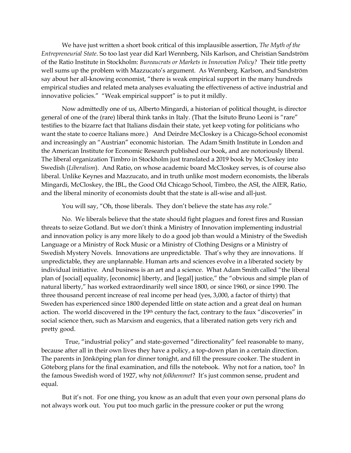We have just written a short book critical of this implausible assertion, *The Myth of the Entrepreneurial State*. So too last year did Karl Wennberg, Nils Karlson, and Christian Sandström of the Ratio Institute in Stockholm: *Bureaucrats or Markets in Innovation Policy?* Their title pretty well sums up the problem with Mazzucato's argument. As Wennberg. Karlson, and Sandström say about her all-knowing economist, "there is weak empirical support in the many hundreds empirical studies and related meta analyses evaluating the effectiveness of active industrial and innovative policies." "Weak empirical support" is to put it mildly.

Now admittedly one of us, Alberto Mingardi, a historian of political thought, is director general of one of the (rare) liberal think tanks in Italy. (That the Isituto Bruno Leoni is "rare" testifies to the bizarre fact that Italians disdain their state, yet keep voting for politicians who want the state to coerce Italians more.) And Deirdre McCloskey is a Chicago-School economist and increasingly an "Austrian" economic historian. The Adam Smith Institute in London and the American Institute for Economic Research published our book, and are notoriously liberal. The liberal organization Timbro in Stockholm just translated a 2019 book by McCloskey into Swedish (*Liberalism*). And Ratio, on whose academic board McCloskey serves, is of course also liberal. Unlike Keynes and Mazzucato, and in truth unlike most modern economists, the liberals Mingardi, McCloskey, the IBL, the Good Old Chicago School, Timbro, the ASI, the AIER, Ratio, and the liberal minority of economists doubt that the state is all-wise and all-just.

You will say, "Oh, those liberals. They don't believe the state has *any* role."

No. We liberals believe that the state should fight plagues and forest fires and Russian threats to seize Gotland. But we don't think a Ministry of Innovation implementing industrial and innovation policy is any more likely to do a good job than would a Ministry of the Swedish Language or a Ministry of Rock Music or a Ministry of Clothing Designs or a Ministry of Swedish Mystery Novels. Innovations are unpredictable. That's why they are innovations. If unpredictable, they are unplannable. Human arts and sciences evolve in a liberated society by individual initiative. And business is an art and a science. What Adam Smith called "the liberal plan of [social] equality, [economic] liberty, and [legal] justice," the "obvious and simple plan of natural liberty," has worked extraordinarily well since 1800, or since 1960, or since 1990. The three thousand percent increase of real income per head (yes, 3,000, a factor of thirty) that Sweden has experienced since 1800 depended little on state action and a great deal on human action. The world discovered in the 19<sup>th</sup> century the fact, contrary to the faux "discoveries" in social science then, such as Marxism and eugenics, that a liberated nation gets very rich and pretty good.

 True, "industrial policy" and state-governed "directionality" feel reasonable to many, because after all in their own lives they have a policy, a top-down plan in a certain direction. The parents in Jönköping plan for dinner tonight, and fill the pressure cooker. The student in Göteborg plans for the final examination, and fills the notebook. Why not for a nation, too? In the famous Swedish word of 1927, why not *folkhemmet*? It's just common sense, prudent and equal.

But it's not. For one thing, you know as an adult that even your own personal plans do not always work out. You put too much garlic in the pressure cooker or put the wrong